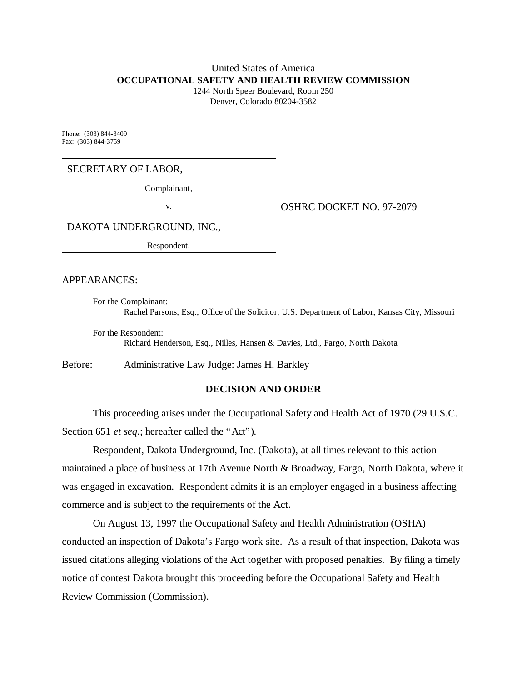# United States of America **OCCUPATIONAL SAFETY AND HEALTH REVIEW COMMISSION**

1244 North Speer Boulevard, Room 250 Denver, Colorado 80204-3582

Phone: (303) 844-3409 Fax: (303) 844-3759

## SECRETARY OF LABOR,

Complainant,

v. **COVERGE 1 | OSHRC DOCKET NO. 97-2079** 

DAKOTA UNDERGROUND, INC.,

Respondent.

APPEARANCES:

For the Complainant: Rachel Parsons, Esq., Office of the Solicitor, U.S. Department of Labor, Kansas City, Missouri

For the Respondent: Richard Henderson, Esq., Nilles, Hansen & Davies, Ltd., Fargo, North Dakota

Before: Administrative Law Judge: James H. Barkley

## **DECISION AND ORDER**

This proceeding arises under the Occupational Safety and Health Act of 1970 (29 U.S.C. Section 651 *et seq.*; hereafter called the "Act").

Respondent, Dakota Underground, Inc. (Dakota), at all times relevant to this action maintained a place of business at 17th Avenue North & Broadway, Fargo, North Dakota, where it was engaged in excavation. Respondent admits it is an employer engaged in a business affecting commerce and is subject to the requirements of the Act.

On August 13, 1997 the Occupational Safety and Health Administration (OSHA) conducted an inspection of Dakota's Fargo work site. As a result of that inspection, Dakota was issued citations alleging violations of the Act together with proposed penalties. By filing a timely notice of contest Dakota brought this proceeding before the Occupational Safety and Health Review Commission (Commission).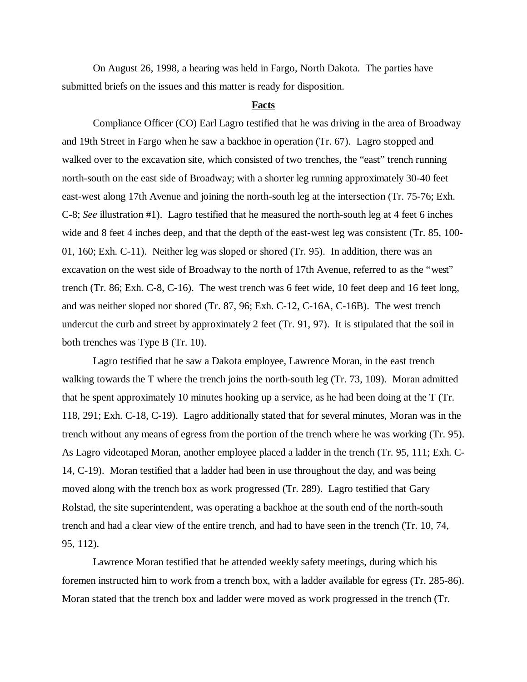On August 26, 1998, a hearing was held in Fargo, North Dakota. The parties have submitted briefs on the issues and this matter is ready for disposition.

#### **Facts**

Compliance Officer (CO) Earl Lagro testified that he was driving in the area of Broadway and 19th Street in Fargo when he saw a backhoe in operation (Tr. 67). Lagro stopped and walked over to the excavation site, which consisted of two trenches, the "east" trench running north-south on the east side of Broadway; with a shorter leg running approximately 30-40 feet east-west along 17th Avenue and joining the north-south leg at the intersection (Tr. 75-76; Exh. C-8; *See* illustration #1). Lagro testified that he measured the north-south leg at 4 feet 6 inches wide and 8 feet 4 inches deep, and that the depth of the east-west leg was consistent (Tr. 85, 100-01, 160; Exh. C-11). Neither leg was sloped or shored (Tr. 95). In addition, there was an excavation on the west side of Broadway to the north of 17th Avenue, referred to as the "west" trench (Tr. 86; Exh. C-8, C-16). The west trench was 6 feet wide, 10 feet deep and 16 feet long, and was neither sloped nor shored (Tr. 87, 96; Exh. C-12, C-16A, C-16B). The west trench undercut the curb and street by approximately 2 feet (Tr. 91, 97). It is stipulated that the soil in both trenches was Type B (Tr. 10).

Lagro testified that he saw a Dakota employee, Lawrence Moran, in the east trench walking towards the T where the trench joins the north-south leg (Tr. 73, 109). Moran admitted that he spent approximately 10 minutes hooking up a service, as he had been doing at the T (Tr. 118, 291; Exh. C-18, C-19). Lagro additionally stated that for several minutes, Moran was in the trench without any means of egress from the portion of the trench where he was working (Tr. 95). As Lagro videotaped Moran, another employee placed a ladder in the trench (Tr. 95, 111; Exh. C-14, C-19). Moran testified that a ladder had been in use throughout the day, and was being moved along with the trench box as work progressed (Tr. 289). Lagro testified that Gary Rolstad, the site superintendent, was operating a backhoe at the south end of the north-south trench and had a clear view of the entire trench, and had to have seen in the trench (Tr. 10, 74, 95, 112).

Lawrence Moran testified that he attended weekly safety meetings, during which his foremen instructed him to work from a trench box, with a ladder available for egress (Tr. 285-86). Moran stated that the trench box and ladder were moved as work progressed in the trench (Tr.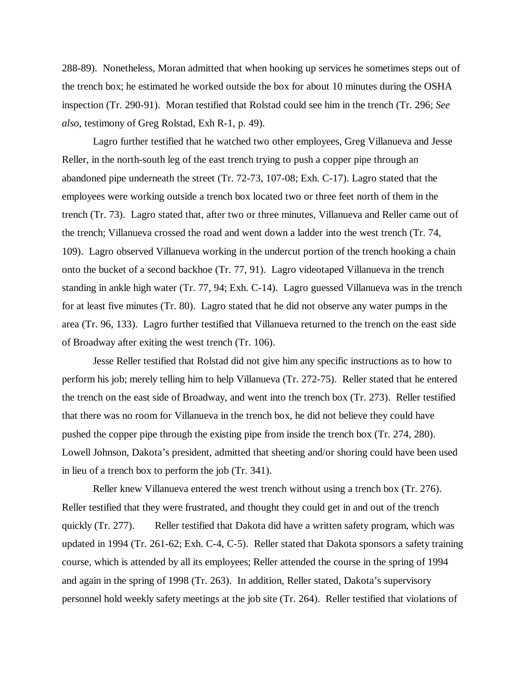288-89). Nonetheless, Moran admitted that when hooking up services he sometimes steps out of the trench box; he estimated he worked outside the box for about 10 minutes during the OSHA inspection (Tr. 290-91). Moran testified that Rolstad could see him in the trench (Tr. 296; *See also,* testimony of Greg Rolstad, Exh R-1, p. 49).

Lagro further testified that he watched two other employees, Greg Villanueva and Jesse Reller, in the north-south leg of the east trench trying to push a copper pipe through an abandoned pipe underneath the street (Tr. 72-73, 107-08; Exh. C-17). Lagro stated that the employees were working outside a trench box located two or three feet north of them in the trench (Tr. 73). Lagro stated that, after two or three minutes, Villanueva and Reller came out of the trench; Villanueva crossed the road and went down a ladder into the west trench (Tr. 74, 109). Lagro observed Villanueva working in the undercut portion of the trench hooking a chain onto the bucket of a second backhoe (Tr. 77, 91). Lagro videotaped Villanueva in the trench standing in ankle high water (Tr. 77, 94; Exh. C-14). Lagro guessed Villanueva was in the trench for at least five minutes (Tr. 80). Lagro stated that he did not observe any water pumps in the area (Tr. 96, 133). Lagro further testified that Villanueva returned to the trench on the east side of Broadway after exiting the west trench (Tr. 106).

Jesse Reller testified that Rolstad did not give him any specific instructions as to how to perform his job; merely telling him to help Villanueva (Tr. 272-75). Reller stated that he entered the trench on the east side of Broadway, and went into the trench box (Tr. 273). Reller testified that there was no room for Villanueva in the trench box, he did not believe they could have pushed the copper pipe through the existing pipe from inside the trench box (Tr. 274, 280). Lowell Johnson, Dakota's president, admitted that sheeting and/or shoring could have been used in lieu of a trench box to perform the job (Tr. 341).

Reller knew Villanueva entered the west trench without using a trench box (Tr. 276). Reller testified that they were frustrated, and thought they could get in and out of the trench quickly (Tr. 277). Reller testified that Dakota did have a written safety program, which was updated in 1994 (Tr. 261-62; Exh. C-4, C-5). Reller stated that Dakota sponsors a safety training course, which is attended by all its employees; Reller attended the course in the spring of 1994 and again in the spring of 1998 (Tr. 263). In addition, Reller stated, Dakota's supervisory personnel hold weekly safety meetings at the job site (Tr. 264). Reller testified that violations of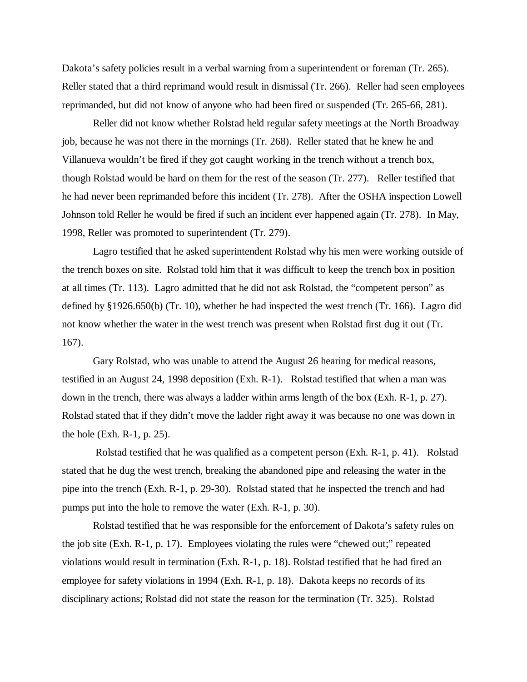Dakota's safety policies result in a verbal warning from a superintendent or foreman (Tr. 265). Reller stated that a third reprimand would result in dismissal (Tr. 266). Reller had seen employees reprimanded, but did not know of anyone who had been fired or suspended (Tr. 265-66, 281).

Reller did not know whether Rolstad held regular safety meetings at the North Broadway job, because he was not there in the mornings (Tr. 268). Reller stated that he knew he and Villanueva wouldn't be fired if they got caught working in the trench without a trench box, though Rolstad would be hard on them for the rest of the season (Tr. 277). Reller testified that he had never been reprimanded before this incident (Tr. 278). After the OSHA inspection Lowell Johnson told Reller he would be fired if such an incident ever happened again (Tr. 278). In May, 1998, Reller was promoted to superintendent (Tr. 279).

Lagro testified that he asked superintendent Rolstad why his men were working outside of the trench boxes on site. Rolstad told him that it was difficult to keep the trench box in position at all times (Tr. 113). Lagro admitted that he did not ask Rolstad, the "competent person" as defined by §1926.650(b) (Tr. 10), whether he had inspected the west trench (Tr. 166). Lagro did not know whether the water in the west trench was present when Rolstad first dug it out (Tr. 167).

Gary Rolstad, who was unable to attend the August 26 hearing for medical reasons, testified in an August 24, 1998 deposition (Exh. R-1). Rolstad testified that when a man was down in the trench, there was always a ladder within arms length of the box (Exh. R-1, p. 27). Rolstad stated that if they didn't move the ladder right away it was because no one was down in the hole (Exh. R-1, p. 25).

 Rolstad testified that he was qualified as a competent person (Exh. R-1, p. 41). Rolstad stated that he dug the west trench, breaking the abandoned pipe and releasing the water in the pipe into the trench (Exh. R-1, p. 29-30). Rolstad stated that he inspected the trench and had pumps put into the hole to remove the water (Exh. R-1, p. 30).

Rolstad testified that he was responsible for the enforcement of Dakota's safety rules on the job site (Exh. R-1, p. 17). Employees violating the rules were "chewed out;" repeated violations would result in termination (Exh. R-1, p. 18). Rolstad testified that he had fired an employee for safety violations in 1994 (Exh. R-1, p. 18). Dakota keeps no records of its disciplinary actions; Rolstad did not state the reason for the termination (Tr. 325). Rolstad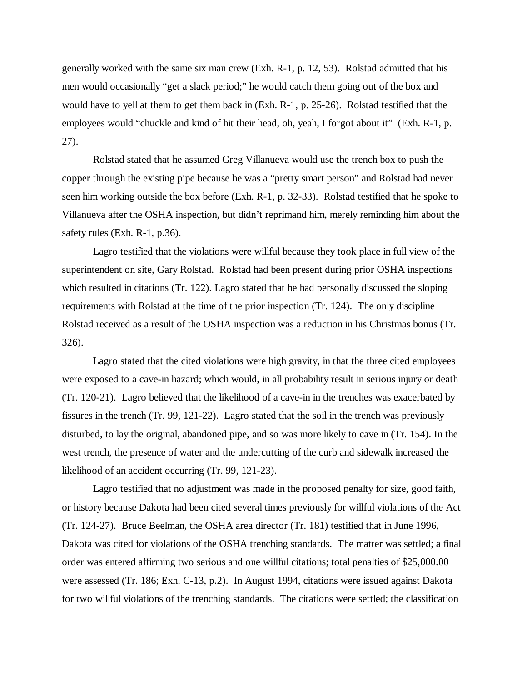generally worked with the same six man crew (Exh. R-1, p. 12, 53). Rolstad admitted that his men would occasionally "get a slack period;" he would catch them going out of the box and would have to yell at them to get them back in (Exh. R-1, p. 25-26). Rolstad testified that the employees would "chuckle and kind of hit their head, oh, yeah, I forgot about it" (Exh. R-1, p. 27).

Rolstad stated that he assumed Greg Villanueva would use the trench box to push the copper through the existing pipe because he was a "pretty smart person" and Rolstad had never seen him working outside the box before (Exh. R-1, p. 32-33). Rolstad testified that he spoke to Villanueva after the OSHA inspection, but didn't reprimand him, merely reminding him about the safety rules (Exh. R-1, p.36).

Lagro testified that the violations were willful because they took place in full view of the superintendent on site, Gary Rolstad. Rolstad had been present during prior OSHA inspections which resulted in citations (Tr. 122). Lagro stated that he had personally discussed the sloping requirements with Rolstad at the time of the prior inspection (Tr. 124). The only discipline Rolstad received as a result of the OSHA inspection was a reduction in his Christmas bonus (Tr. 326).

Lagro stated that the cited violations were high gravity, in that the three cited employees were exposed to a cave-in hazard; which would, in all probability result in serious injury or death (Tr. 120-21). Lagro believed that the likelihood of a cave-in in the trenches was exacerbated by fissures in the trench (Tr. 99, 121-22). Lagro stated that the soil in the trench was previously disturbed, to lay the original, abandoned pipe, and so was more likely to cave in (Tr. 154). In the west trench, the presence of water and the undercutting of the curb and sidewalk increased the likelihood of an accident occurring (Tr. 99, 121-23).

 Lagro testified that no adjustment was made in the proposed penalty for size, good faith, or history because Dakota had been cited several times previously for willful violations of the Act (Tr. 124-27). Bruce Beelman, the OSHA area director (Tr. 181) testified that in June 1996, Dakota was cited for violations of the OSHA trenching standards. The matter was settled; a final order was entered affirming two serious and one willful citations; total penalties of \$25,000.00 were assessed (Tr. 186; Exh. C-13, p.2). In August 1994, citations were issued against Dakota for two willful violations of the trenching standards. The citations were settled; the classification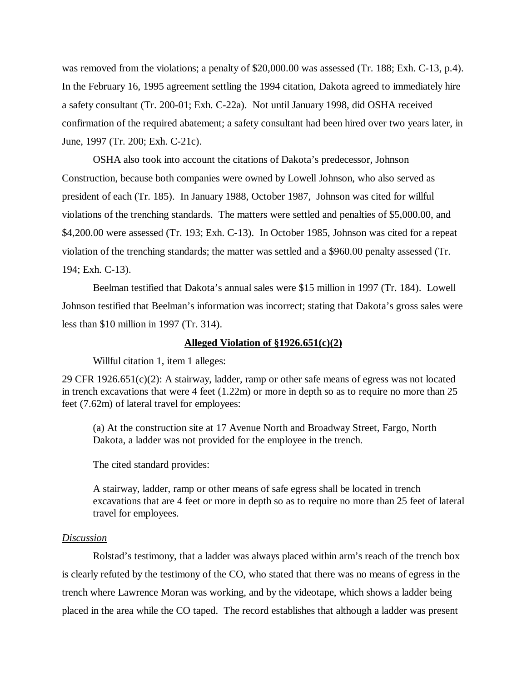was removed from the violations; a penalty of \$20,000.00 was assessed (Tr. 188; Exh. C-13, p.4). In the February 16, 1995 agreement settling the 1994 citation, Dakota agreed to immediately hire a safety consultant (Tr. 200-01; Exh. C-22a). Not until January 1998, did OSHA received confirmation of the required abatement; a safety consultant had been hired over two years later, in June, 1997 (Tr. 200; Exh. C-21c).

OSHA also took into account the citations of Dakota's predecessor, Johnson Construction, because both companies were owned by Lowell Johnson, who also served as president of each (Tr. 185). In January 1988, October 1987, Johnson was cited for willful violations of the trenching standards. The matters were settled and penalties of \$5,000.00, and \$4,200.00 were assessed (Tr. 193; Exh. C-13). In October 1985, Johnson was cited for a repeat violation of the trenching standards; the matter was settled and a \$960.00 penalty assessed (Tr. 194; Exh. C-13).

Beelman testified that Dakota's annual sales were \$15 million in 1997 (Tr. 184). Lowell Johnson testified that Beelman's information was incorrect; stating that Dakota's gross sales were less than \$10 million in 1997 (Tr. 314).

## **Alleged Violation of §1926.651(c)(2)**

Willful citation 1, item 1 alleges:

29 CFR 1926.651(c)(2): A stairway, ladder, ramp or other safe means of egress was not located in trench excavations that were 4 feet (1.22m) or more in depth so as to require no more than 25 feet (7.62m) of lateral travel for employees:

(a) At the construction site at 17 Avenue North and Broadway Street, Fargo, North Dakota, a ladder was not provided for the employee in the trench.

The cited standard provides:

A stairway, ladder, ramp or other means of safe egress shall be located in trench excavations that are 4 feet or more in depth so as to require no more than 25 feet of lateral travel for employees.

#### *Discussion*

Rolstad's testimony, that a ladder was always placed within arm's reach of the trench box is clearly refuted by the testimony of the CO, who stated that there was no means of egress in the trench where Lawrence Moran was working, and by the videotape, which shows a ladder being placed in the area while the CO taped. The record establishes that although a ladder was present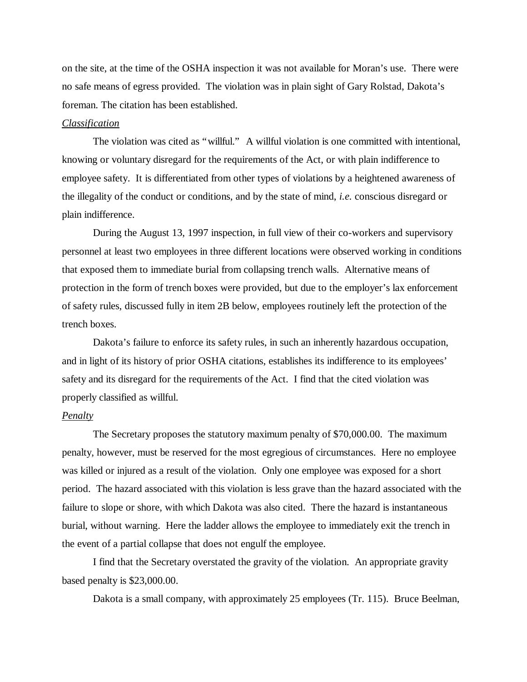on the site, at the time of the OSHA inspection it was not available for Moran's use. There were no safe means of egress provided. The violation was in plain sight of Gary Rolstad, Dakota's foreman. The citation has been established.

## *Classification*

The violation was cited as "willful." A willful violation is one committed with intentional, knowing or voluntary disregard for the requirements of the Act, or with plain indifference to employee safety. It is differentiated from other types of violations by a heightened awareness of the illegality of the conduct or conditions, and by the state of mind, *i.e.* conscious disregard or plain indifference.

During the August 13, 1997 inspection, in full view of their co-workers and supervisory personnel at least two employees in three different locations were observed working in conditions that exposed them to immediate burial from collapsing trench walls. Alternative means of protection in the form of trench boxes were provided, but due to the employer's lax enforcement of safety rules, discussed fully in item 2B below, employees routinely left the protection of the trench boxes.

Dakota's failure to enforce its safety rules, in such an inherently hazardous occupation, and in light of its history of prior OSHA citations, establishes its indifference to its employees' safety and its disregard for the requirements of the Act. I find that the cited violation was properly classified as willful.

#### *Penalty*

The Secretary proposes the statutory maximum penalty of \$70,000.00. The maximum penalty, however, must be reserved for the most egregious of circumstances. Here no employee was killed or injured as a result of the violation. Only one employee was exposed for a short period. The hazard associated with this violation is less grave than the hazard associated with the failure to slope or shore, with which Dakota was also cited. There the hazard is instantaneous burial, without warning. Here the ladder allows the employee to immediately exit the trench in the event of a partial collapse that does not engulf the employee.

I find that the Secretary overstated the gravity of the violation. An appropriate gravity based penalty is \$23,000.00.

Dakota is a small company, with approximately 25 employees (Tr. 115). Bruce Beelman,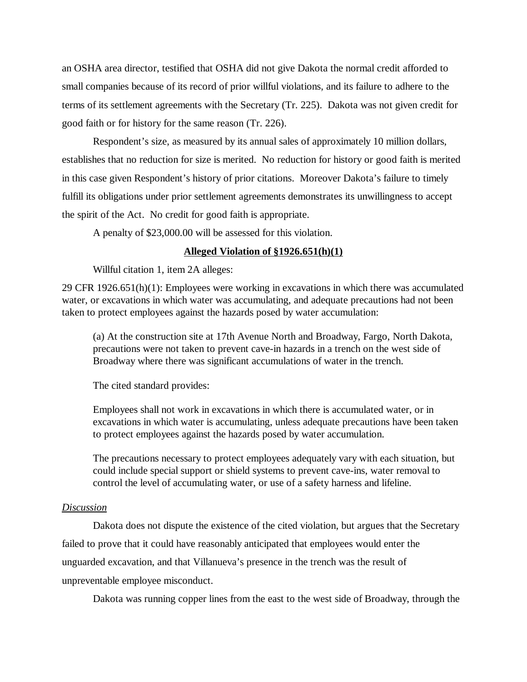an OSHA area director, testified that OSHA did not give Dakota the normal credit afforded to small companies because of its record of prior willful violations, and its failure to adhere to the terms of its settlement agreements with the Secretary (Tr. 225). Dakota was not given credit for good faith or for history for the same reason (Tr. 226).

 Respondent's size, as measured by its annual sales of approximately 10 million dollars, establishes that no reduction for size is merited. No reduction for history or good faith is merited in this case given Respondent's history of prior citations. Moreover Dakota's failure to timely fulfill its obligations under prior settlement agreements demonstrates its unwillingness to accept the spirit of the Act. No credit for good faith is appropriate.

A penalty of \$23,000.00 will be assessed for this violation.

### **Alleged Violation of §1926.651(h)(1)**

Willful citation 1, item 2A alleges:

29 CFR 1926.651(h)(1): Employees were working in excavations in which there was accumulated water, or excavations in which water was accumulating, and adequate precautions had not been taken to protect employees against the hazards posed by water accumulation:

(a) At the construction site at 17th Avenue North and Broadway, Fargo, North Dakota, precautions were not taken to prevent cave-in hazards in a trench on the west side of Broadway where there was significant accumulations of water in the trench.

The cited standard provides:

Employees shall not work in excavations in which there is accumulated water, or in excavations in which water is accumulating, unless adequate precautions have been taken to protect employees against the hazards posed by water accumulation.

The precautions necessary to protect employees adequately vary with each situation, but could include special support or shield systems to prevent cave-ins, water removal to control the level of accumulating water, or use of a safety harness and lifeline.

#### *Discussion*

Dakota does not dispute the existence of the cited violation, but argues that the Secretary failed to prove that it could have reasonably anticipated that employees would enter the unguarded excavation, and that Villanueva's presence in the trench was the result of unpreventable employee misconduct.

Dakota was running copper lines from the east to the west side of Broadway, through the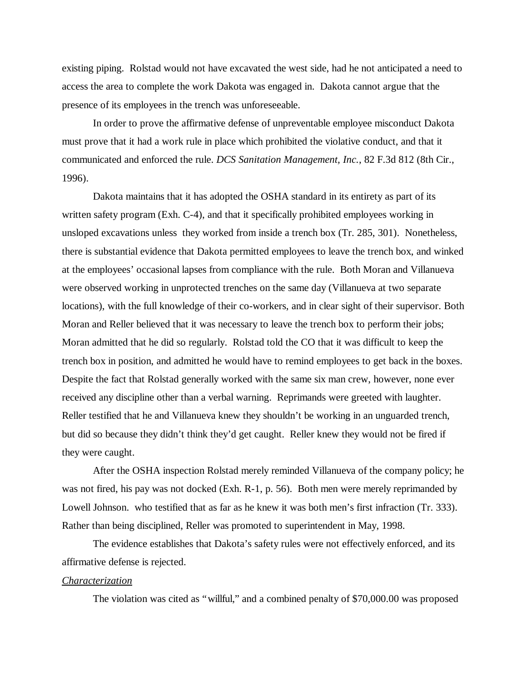existing piping. Rolstad would not have excavated the west side, had he not anticipated a need to access the area to complete the work Dakota was engaged in. Dakota cannot argue that the presence of its employees in the trench was unforeseeable.

In order to prove the affirmative defense of unpreventable employee misconduct Dakota must prove that it had a work rule in place which prohibited the violative conduct, and that it communicated and enforced the rule. *DCS Sanitation Management, Inc.*, 82 F.3d 812 (8th Cir., 1996).

Dakota maintains that it has adopted the OSHA standard in its entirety as part of its written safety program (Exh. C-4), and that it specifically prohibited employees working in unsloped excavations unless they worked from inside a trench box (Tr. 285, 301). Nonetheless, there is substantial evidence that Dakota permitted employees to leave the trench box, and winked at the employees' occasional lapses from compliance with the rule. Both Moran and Villanueva were observed working in unprotected trenches on the same day (Villanueva at two separate locations), with the full knowledge of their co-workers, and in clear sight of their supervisor. Both Moran and Reller believed that it was necessary to leave the trench box to perform their jobs; Moran admitted that he did so regularly. Rolstad told the CO that it was difficult to keep the trench box in position, and admitted he would have to remind employees to get back in the boxes. Despite the fact that Rolstad generally worked with the same six man crew, however, none ever received any discipline other than a verbal warning. Reprimands were greeted with laughter. Reller testified that he and Villanueva knew they shouldn't be working in an unguarded trench, but did so because they didn't think they'd get caught. Reller knew they would not be fired if they were caught.

After the OSHA inspection Rolstad merely reminded Villanueva of the company policy; he was not fired, his pay was not docked (Exh. R-1, p. 56). Both men were merely reprimanded by Lowell Johnson. who testified that as far as he knew it was both men's first infraction (Tr. 333). Rather than being disciplined, Reller was promoted to superintendent in May, 1998.

The evidence establishes that Dakota's safety rules were not effectively enforced, and its affirmative defense is rejected.

#### *Characterization*

The violation was cited as "willful," and a combined penalty of \$70,000.00 was proposed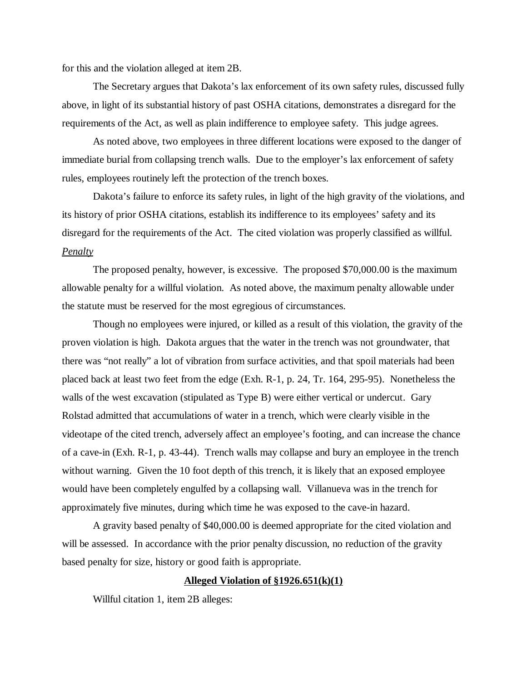for this and the violation alleged at item 2B.

The Secretary argues that Dakota's lax enforcement of its own safety rules, discussed fully above, in light of its substantial history of past OSHA citations, demonstrates a disregard for the requirements of the Act, as well as plain indifference to employee safety. This judge agrees.

As noted above, two employees in three different locations were exposed to the danger of immediate burial from collapsing trench walls. Due to the employer's lax enforcement of safety rules, employees routinely left the protection of the trench boxes.

Dakota's failure to enforce its safety rules, in light of the high gravity of the violations, and its history of prior OSHA citations, establish its indifference to its employees' safety and its disregard for the requirements of the Act. The cited violation was properly classified as willful. *Penalty*

The proposed penalty, however, is excessive. The proposed \$70,000.00 is the maximum allowable penalty for a willful violation. As noted above, the maximum penalty allowable under the statute must be reserved for the most egregious of circumstances.

Though no employees were injured, or killed as a result of this violation, the gravity of the proven violation is high. Dakota argues that the water in the trench was not groundwater, that there was "not really" a lot of vibration from surface activities, and that spoil materials had been placed back at least two feet from the edge (Exh. R-1, p. 24, Tr. 164, 295-95). Nonetheless the walls of the west excavation (stipulated as Type B) were either vertical or undercut. Gary Rolstad admitted that accumulations of water in a trench, which were clearly visible in the videotape of the cited trench, adversely affect an employee's footing, and can increase the chance of a cave-in (Exh. R-1, p. 43-44). Trench walls may collapse and bury an employee in the trench without warning. Given the 10 foot depth of this trench, it is likely that an exposed employee would have been completely engulfed by a collapsing wall. Villanueva was in the trench for approximately five minutes, during which time he was exposed to the cave-in hazard.

 A gravity based penalty of \$40,000.00 is deemed appropriate for the cited violation and will be assessed. In accordance with the prior penalty discussion, no reduction of the gravity based penalty for size, history or good faith is appropriate.

## **Alleged Violation of §1926.651(k)(1)**

Willful citation 1, item 2B alleges: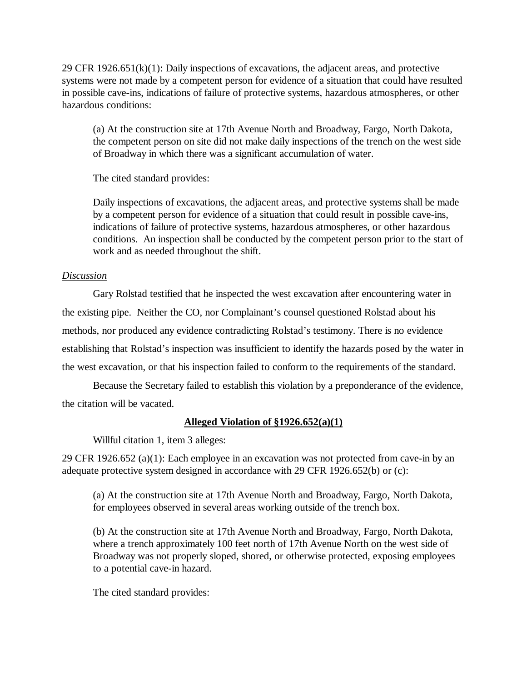29 CFR 1926.651(k)(1): Daily inspections of excavations, the adjacent areas, and protective systems were not made by a competent person for evidence of a situation that could have resulted in possible cave-ins, indications of failure of protective systems, hazardous atmospheres, or other hazardous conditions:

(a) At the construction site at 17th Avenue North and Broadway, Fargo, North Dakota, the competent person on site did not make daily inspections of the trench on the west side of Broadway in which there was a significant accumulation of water.

The cited standard provides:

Daily inspections of excavations, the adjacent areas, and protective systems shall be made by a competent person for evidence of a situation that could result in possible cave-ins, indications of failure of protective systems, hazardous atmospheres, or other hazardous conditions. An inspection shall be conducted by the competent person prior to the start of work and as needed throughout the shift.

# *Discussion*

Gary Rolstad testified that he inspected the west excavation after encountering water in the existing pipe. Neither the CO, nor Complainant's counsel questioned Rolstad about his methods, nor produced any evidence contradicting Rolstad's testimony. There is no evidence establishing that Rolstad's inspection was insufficient to identify the hazards posed by the water in the west excavation, or that his inspection failed to conform to the requirements of the standard.

Because the Secretary failed to establish this violation by a preponderance of the evidence, the citation will be vacated.

# **Alleged Violation of §1926.652(a)(1)**

Willful citation 1, item 3 alleges:

29 CFR 1926.652 (a)(1): Each employee in an excavation was not protected from cave-in by an adequate protective system designed in accordance with 29 CFR 1926.652(b) or (c):

(a) At the construction site at 17th Avenue North and Broadway, Fargo, North Dakota, for employees observed in several areas working outside of the trench box.

(b) At the construction site at 17th Avenue North and Broadway, Fargo, North Dakota, where a trench approximately 100 feet north of 17th Avenue North on the west side of Broadway was not properly sloped, shored, or otherwise protected, exposing employees to a potential cave-in hazard.

The cited standard provides: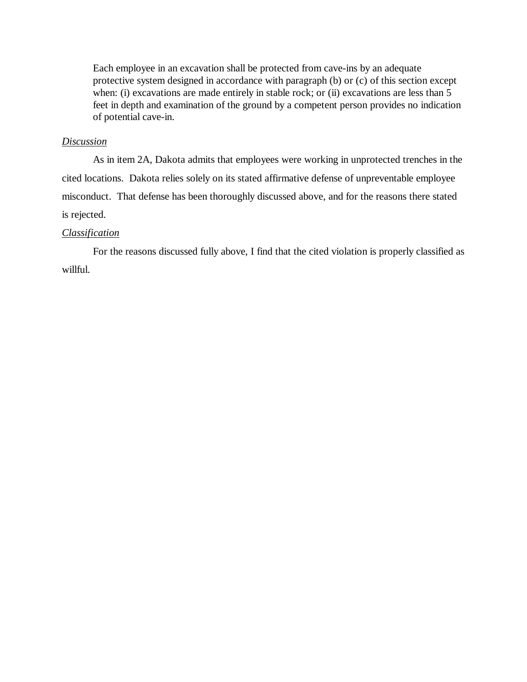Each employee in an excavation shall be protected from cave-ins by an adequate protective system designed in accordance with paragraph (b) or (c) of this section except when: (i) excavations are made entirely in stable rock; or (ii) excavations are less than 5 feet in depth and examination of the ground by a competent person provides no indication of potential cave-in.

## *Discussion*

As in item 2A, Dakota admits that employees were working in unprotected trenches in the cited locations. Dakota relies solely on its stated affirmative defense of unpreventable employee misconduct. That defense has been thoroughly discussed above, and for the reasons there stated is rejected.

## *Classification*

For the reasons discussed fully above, I find that the cited violation is properly classified as willful.